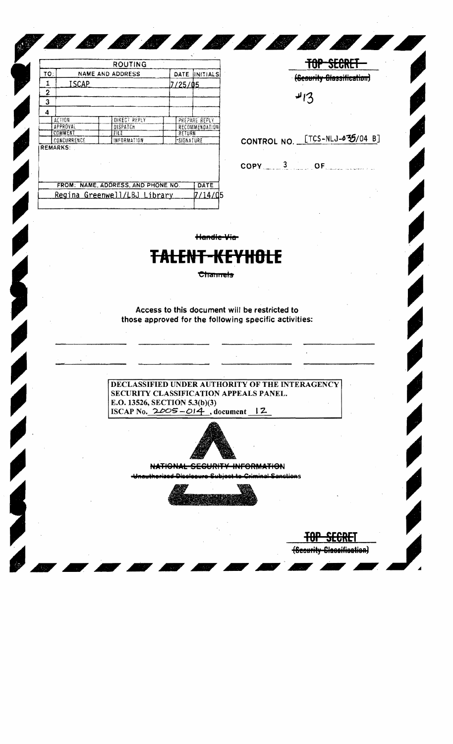|             |                                  | ROUTING             |  |                         |               |  |
|-------------|----------------------------------|---------------------|--|-------------------------|---------------|--|
| TO:         | <b>NAME AND ADDRESS</b><br>ISCAP |                     |  | DATE                    | INITIALS      |  |
| 1           |                                  |                     |  | 7/25/05                 |               |  |
| $\mathbf 2$ |                                  |                     |  |                         |               |  |
| 3           |                                  |                     |  |                         |               |  |
| 4           |                                  |                     |  |                         |               |  |
|             | <b>ACTION</b>                    | <b>DIRECT REPLY</b> |  |                         | PREPARE REPLY |  |
| APPROVAL    |                                  | DISPATCH            |  | <b>RECOMMENDATION</b>   |               |  |
| COMMENT     |                                  | FILE<br>×.          |  | <b>RETURN</b>           |               |  |
| CONCURRENCE |                                  | INFORMATION         |  | <i><b>SIGNATURE</b></i> |               |  |
|             | <b>REMARKS:</b>                  |                     |  |                         |               |  |

Regina Greenwell/LBJ Library

|               | 4/3                            |
|---------------|--------------------------------|
|               | CONTROL NO. [TCS-NLJ-035/04 B] |
| $COPY = 3$ OF |                                |

(Sceurity Classification)

TOP SECRET (Scourity Blassification)

Handle Via

 $7/14/05$ 

**SANTANA** 

## <del>TALENT-KEY</del> Hitler

Channels

Access to this document will be restricted to those approved for the following specific activities:

DECLASSIFIED UNDER AUTHORITY OF THE INTERAGENCY SECURITY CLASSIFICATION APPEALS PANEL. E.O. 13526, SECTION 5.3(b)(3) ISCAP No.  $2005 - 014$ , document 12



NATIONAL SECURITY INFORMATION

Inauthorized Die inal Sanctions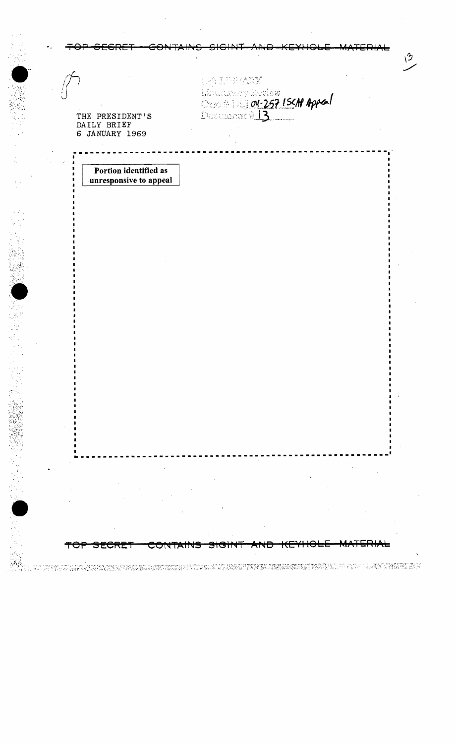| THE PRESIDENT'S<br>DAILY BRIEF<br>6 JANUARY 1969 | de) informativ                      | Marcheson, Review<br>Orac #18304-257 ISCN Appeal<br>Decembert #13 |      |  |
|--------------------------------------------------|-------------------------------------|-------------------------------------------------------------------|------|--|
| Portion identified as                            |                                     |                                                                   |      |  |
| unresponsive to appeal                           |                                     |                                                                   |      |  |
|                                                  |                                     |                                                                   |      |  |
|                                                  |                                     |                                                                   |      |  |
|                                                  |                                     |                                                                   |      |  |
|                                                  |                                     |                                                                   |      |  |
|                                                  |                                     |                                                                   |      |  |
|                                                  |                                     |                                                                   |      |  |
|                                                  |                                     |                                                                   |      |  |
|                                                  |                                     |                                                                   |      |  |
|                                                  |                                     |                                                                   |      |  |
|                                                  |                                     |                                                                   |      |  |
|                                                  |                                     |                                                                   |      |  |
|                                                  |                                     |                                                                   |      |  |
|                                                  |                                     |                                                                   |      |  |
|                                                  |                                     |                                                                   |      |  |
|                                                  |                                     |                                                                   |      |  |
|                                                  |                                     |                                                                   |      |  |
| <b>UNET</b>                                      | <del>sicit</del><br><b>CUNTAINS</b> | $\pi$ rto                                                         | TCDI |  |

 $\epsilon$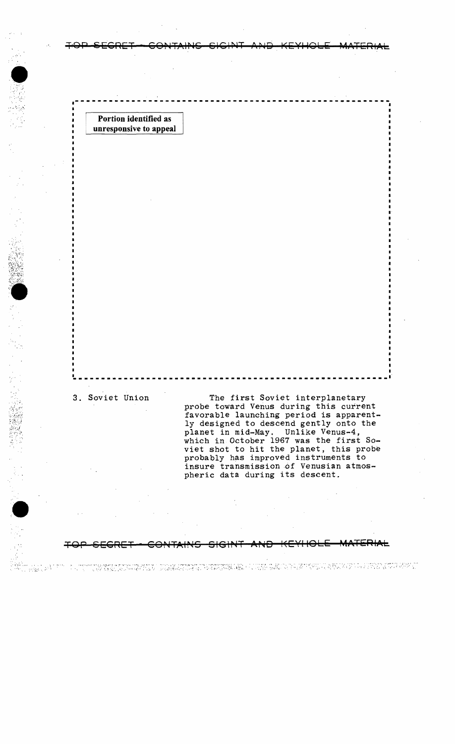Portion identified as unresponsive to appeal

3. Soviet Union

i wasa<sup>ng pe</sup>

The first Soviet interplanetary probe toward Venus during this current favorable launching period is apparently designed to descend gently onto the planet in mid-May. Unlike Venus-4, which in October 1967 was the first So-<br>viet shot to hit the planet, this probe probably has improved instruments to insure transmission of Venusian atmospheric data during its descent.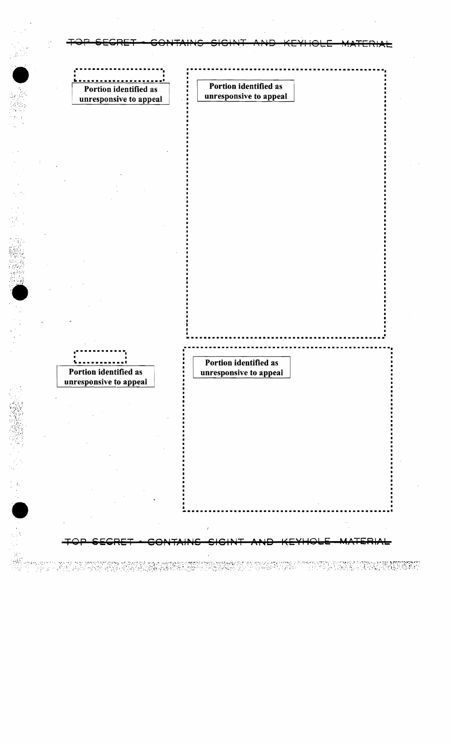Portion identified as Portion identified as unresponsive to appeal unresponsive to appeal Portion identified as Portion identified as unresponsive to appeal unresponsive to appeal na min'ny tao amin'ny faritr'i Antal Mandelberg, amin'ny faritr'i Normandie, ao amin'ny faritr'i Normandie, ao<br>Ny faritr'ora dia GMT+19 mampiasa ny kaodim-paositra 2008–2014. Ilay kaominina dia kaominina mpikambana amin'n